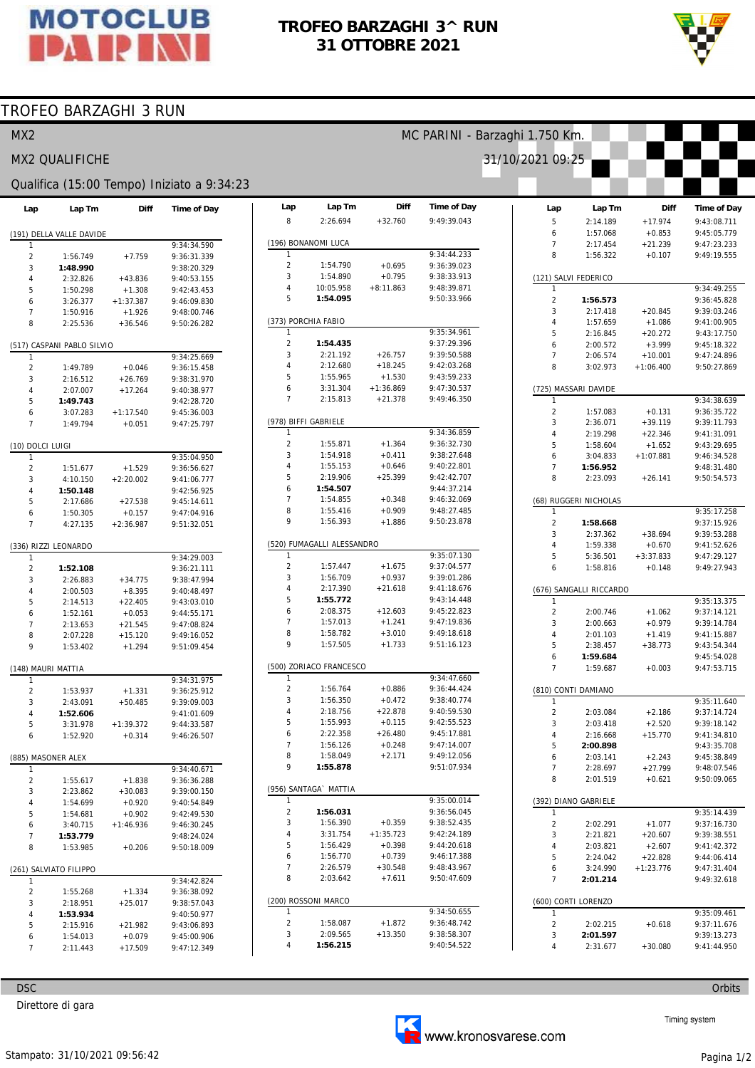

## **TROFEO BARZAGHI 3^ RUN 31 OTTOBRE 2021**

**Diff** 

**Time of Day** 

MC PARINI - Barzaghi 1.750 Km.

31/10/2021 09:25

**Lap** 

**Lap Tm** 



## TROFEO BARZAGHI 3 RUN

## MX2

### MX2 QUALIFICHE

#### Qualifica (15:00 Tempo) Iniziato a 9:34:23

| Lap                | Lap Tm                     | Diff        | Time of Day |
|--------------------|----------------------------|-------------|-------------|
|                    |                            |             |             |
|                    | (191) DELLA VALLE DAVIDE   |             |             |
| 1                  |                            |             | 9:34:34.590 |
| $\overline{2}$     | 1:56.749                   | $+7.759$    | 9:36:31.339 |
| 3                  | 1:48.990                   |             | 9:38:20.329 |
| 4                  | 2:32.826                   | $+43.836$   | 9:40:53.155 |
| 5                  | 1:50.298                   | $+1.308$    | 9:42:43.453 |
| 6                  | 3:26.377                   | $+1:37.387$ | 9:46:09.830 |
| $\overline{7}$     | 1:50.916                   | $+1.926$    | 9:48:00.746 |
| 8                  | 2:25.536                   | $+36.546$   | 9:50:26.282 |
|                    |                            |             |             |
| 1                  | (517) CASPANI PABLO SILVIO |             | 9:34:25.669 |
| $\overline{c}$     | 1:49.789                   | $+0.046$    | 9:36:15.458 |
| 3                  | 2:16.512                   | $+26.769$   | 9:38:31.970 |
|                    |                            |             | 9:40:38.977 |
| 4                  | 2:07.007                   | $+17.264$   |             |
| 5                  | 1:49.743                   |             | 9:42:28.720 |
| 6                  | 3:07.283                   | $+1:17.540$ | 9:45:36.003 |
| $\overline{7}$     | 1:49.794                   | $+0.051$    | 9:47:25.797 |
| (10) DOLCI LUIGI   |                            |             |             |
| 1                  |                            |             | 9:35:04.950 |
| 2                  | 1:51.677                   | $+1.529$    | 9:36:56.627 |
| 3                  | 4:10.150                   | $+2:20.002$ | 9:41:06.777 |
| 4                  | 1:50.148                   |             | 9:42:56.925 |
| 5                  | 2:17.686                   | $+27.538$   | 9:45:14.611 |
| 6                  | 1:50.305                   | $+0.157$    | 9:47:04.916 |
| 7                  | 4:27.135                   | $+2:36.987$ | 9:51:32.051 |
|                    |                            |             |             |
|                    | (336) RIZZI LEONARDO       |             |             |
| 1                  |                            |             | 9:34:29.003 |
| $\overline{2}$     | 1:52.108                   |             | 9:36:21.111 |
| 3                  | 2:26.883                   | $+34.775$   | 9:38:47.994 |
| 4                  | 2:00.503                   | $+8.395$    | 9:40:48.497 |
| 5                  | 2:14.513                   | $+22.405$   | 9:43:03.010 |
| 6                  | 1:52.161                   | $+0.053$    | 9:44:55.171 |
| 7                  | 2:13.653                   | $+21.545$   | 9:47:08.824 |
| 8                  | 2:07.228                   | $+15.120$   | 9:49:16.052 |
| 9                  | 1:53.402                   | $+1.294$    | 9:51:09.454 |
|                    |                            |             |             |
| (148) MAURI MATTIA |                            |             |             |
| 1                  |                            |             | 9:34:31.975 |
| $\overline{2}$     | 1:53.937                   | $+1.331$    | 9:36:25.912 |
| 3                  | 2:43.091                   | $+50.485$   | 9:39:09.003 |
| 4                  | 1:52.606                   |             | 9:41:01.609 |
| 5                  | 3:31.978                   | $+1:39.372$ | 9:44:33.587 |
| 6                  | 1:52.920                   | $+0.314$    | 9:46:26.507 |
| (885) MASONER ALEX |                            |             |             |
| 1                  |                            |             | 9:34:40.671 |
| 2                  | 1:55.617                   | +1.838      | 9:36:36.288 |
| 3                  | 2:23.862                   | $+30.083$   | 9:39:00.150 |
|                    | 1:54.699                   |             |             |
| 4                  |                            | $+0.920$    | 9:40:54.849 |
| 5                  | 1:54.681                   | $+0.902$    | 9:42:49.530 |
| 6                  | 3:40.715                   | $+1:46.936$ | 9:46:30.245 |
| 7                  | 1:53.779                   |             | 9:48:24.024 |
| 8                  | 1:53.985                   | $+0.206$    | 9:50:18.009 |
|                    | (261) SALVIATO FILIPPO     |             |             |
| 1                  |                            |             | 9:34:42.824 |
| 2                  | 1:55.268                   | $+1.334$    | 9:36:38.092 |
| 3                  | 2:18.951                   | $+25.017$   | 9:38:57.043 |
| 4                  | 1:53.934                   |             | 9:40:50.977 |
| 5                  | 2:15.916                   |             | 9:43:06.893 |
|                    |                            | $+21.982$   |             |
| 6                  | 1:54.013                   | $+0.079$    | 9:45:00.906 |
| 7                  | 2:11.443                   | $+17.509$   | 9:47:12.349 |

| 8                          | 2:26.694                | $+32.760$             | 9:49:39.043                |  |  |  |  |  |  |
|----------------------------|-------------------------|-----------------------|----------------------------|--|--|--|--|--|--|
| (196) BONANOMI LUCA        |                         |                       |                            |  |  |  |  |  |  |
| 1                          |                         |                       | 9:34:44.233                |  |  |  |  |  |  |
| $\overline{2}$             | 1:54.790                | $+0.695$              | 9:36:39.023                |  |  |  |  |  |  |
| 3                          | 1:54.890                | $+0.795$              | 9:38:33.913                |  |  |  |  |  |  |
| 4                          | 10:05.958               | $+8:11.863$           | 9:48:39.871                |  |  |  |  |  |  |
| 5                          | 1:54.095                |                       | 9:50:33.966                |  |  |  |  |  |  |
|                            |                         |                       |                            |  |  |  |  |  |  |
|                            | (373) PORCHIA FABIO     |                       |                            |  |  |  |  |  |  |
| 1                          |                         |                       | 9:35:34.961                |  |  |  |  |  |  |
| 2                          | 1:54.435                |                       | 9:37:29.396                |  |  |  |  |  |  |
| 3                          | 2:21.192                | $+26.757$             | 9:39:50.588                |  |  |  |  |  |  |
| 4                          | 2:12.680                | $+18.245$<br>$+1.530$ | 9:42:03.268                |  |  |  |  |  |  |
| 5                          | 1:55.965                |                       | 9:43:59.233                |  |  |  |  |  |  |
| 6<br>7                     | 3:31.304                | $+1:36.869$           | 9:47:30.537                |  |  |  |  |  |  |
|                            | 2:15.813                | $+21.378$             | 9:49:46.350                |  |  |  |  |  |  |
| (978) BIFFI GABRIELE       |                         |                       |                            |  |  |  |  |  |  |
| 1                          |                         |                       | 9:34:36.859                |  |  |  |  |  |  |
| 2                          | 1:55.871                | $+1.364$              | 9:36:32.730                |  |  |  |  |  |  |
| 3                          | 1:54.918                | $+0.411$              | 9:38:27.648                |  |  |  |  |  |  |
| 4                          | 1:55.153                | $+0.646$              | 9:40:22.801                |  |  |  |  |  |  |
| 5                          | 2:19.906                | $+25.399$             | 9:42:42.707                |  |  |  |  |  |  |
| 6                          | 1:54.507                |                       | 9:44:37.214                |  |  |  |  |  |  |
| 7                          | 1:54.855                | $+0.348$              | 9:46:32.069                |  |  |  |  |  |  |
| 8                          | 1:55.416                | $+0.909$              | 9:48:27.485                |  |  |  |  |  |  |
| 9                          | 1:56.393                | $+1.886$              | 9:50:23.878                |  |  |  |  |  |  |
| (520) FUMAGALLI ALESSANDRO |                         |                       |                            |  |  |  |  |  |  |
| 1                          |                         |                       | 9:35:07.130                |  |  |  |  |  |  |
| 2                          | 1:57.447                | $+1.675$              | 9:37:04.577                |  |  |  |  |  |  |
| 3                          | 1:56.709                | $+0.937$              | 9:39:01.286                |  |  |  |  |  |  |
| 4                          | 2:17.390                | $+21.618$             | 9:41:18.676                |  |  |  |  |  |  |
| 5                          | 1:55.772                |                       | 9:43:14.448                |  |  |  |  |  |  |
| 6                          | 2:08.375                | $+12.603$             | 9:45:22.823                |  |  |  |  |  |  |
| 7                          | 1:57.013                | $+1.241$              | 9:47:19.836                |  |  |  |  |  |  |
| 8                          | 1:58.782                | $+3.010$              | 9:49:18.618                |  |  |  |  |  |  |
| 9                          | 1:57.505                | $+1.733$              | 9:51:16.123                |  |  |  |  |  |  |
|                            | (500) ZORIACO FRANCESCO |                       |                            |  |  |  |  |  |  |
| 1                          |                         |                       | 9:34:47.660                |  |  |  |  |  |  |
| 2                          | 1:56.764                | $+0.886$              | 9:36:44.424                |  |  |  |  |  |  |
| 3                          | 1:56.350                | $+0.472$              | 9:38:40.774                |  |  |  |  |  |  |
| 4                          | 2:18.756                | $+22.878$             | 9:40:59.530                |  |  |  |  |  |  |
| 5                          | 1:55.993                | $+0.115$              | 9:42:55.523                |  |  |  |  |  |  |
| 6                          | 2:22.358                | $+26.480$             | 9:45:17.881                |  |  |  |  |  |  |
| 7                          | 1:56.126                | $+0.248$              | 9:47:14.007                |  |  |  |  |  |  |
| 8                          | 1:58.049                | $+2.171$              | 9:49:12.056                |  |  |  |  |  |  |
| 9                          | 1:55.878                |                       | 9:51:07.934                |  |  |  |  |  |  |
|                            |                         |                       |                            |  |  |  |  |  |  |
| 1                          | (956) SANTAGA` MATTIA   |                       |                            |  |  |  |  |  |  |
|                            |                         |                       | 9:35:00.014                |  |  |  |  |  |  |
| 2                          | 1:56.031                |                       | 9:36:56.045                |  |  |  |  |  |  |
| 3                          | 1:56.390<br>3:31.754    | $+0.359$              | 9:38:52.435                |  |  |  |  |  |  |
| 4                          |                         | $+1:35.723$           | 9:42:24.189                |  |  |  |  |  |  |
| 5                          | 1:56.429                | $+0.398$              | 9:44:20.618                |  |  |  |  |  |  |
| 6                          | 1:56.770                | $+0.739$              | 9:46:17.388<br>9:48:43.967 |  |  |  |  |  |  |
| 7                          | 2:26.579                | $+30.548$             |                            |  |  |  |  |  |  |
| 8                          | 2:03.642                | $+7.611$              | 9:50:47.609                |  |  |  |  |  |  |
|                            | (200) ROSSONI MARCO     |                       |                            |  |  |  |  |  |  |
| 1                          |                         |                       | 9:34:50.655                |  |  |  |  |  |  |
| 2                          | 1:58.087                | $+1.872$              | 9:36:48.742                |  |  |  |  |  |  |
| 3                          | 2:09.565                | $+13.350$             | 9:38:58.307                |  |  |  |  |  |  |
| 4                          | 1:56.215                |                       | 9:40:54.522                |  |  |  |  |  |  |

| Lap                    | Lap Tm                  | Diff        | Time of Day                |  |  |  |  |  |  |
|------------------------|-------------------------|-------------|----------------------------|--|--|--|--|--|--|
| 5                      | 2:14.189                | $+17.974$   | 9:43:08.711                |  |  |  |  |  |  |
| 6                      | 1:57.068                | $+0.853$    | 9:45:05.779                |  |  |  |  |  |  |
| 7                      | 2:17.454                | $+21.239$   | 9:47:23.233                |  |  |  |  |  |  |
| 8                      | 1:56.322                | $+0.107$    | 9:49:19.555                |  |  |  |  |  |  |
| (121) SALVI FEDERICO   |                         |             |                            |  |  |  |  |  |  |
| 1                      |                         |             | 9:34:49.255                |  |  |  |  |  |  |
| $\overline{c}$         | 1:56.573                |             | 9:36:45.828                |  |  |  |  |  |  |
| 3                      | 2:17.418                | $+20.845$   | 9:39:03.246                |  |  |  |  |  |  |
| 4                      | 1:57.659                | $+1.086$    | 9:41:00.905                |  |  |  |  |  |  |
| 5                      | 2:16.845                | $+20.272$   | 9:43:17.750                |  |  |  |  |  |  |
| 6                      | 2:00.572                | $+3.999$    | 9:45:18.322                |  |  |  |  |  |  |
| 7                      | 2:06.574                | $+10.001$   | 9:47:24.896                |  |  |  |  |  |  |
| 8                      | 3:02.973                | $+1:06.400$ | 9:50:27.869                |  |  |  |  |  |  |
| (725) MASSARI DAVIDE   |                         |             |                            |  |  |  |  |  |  |
| 1                      |                         |             | 9:34:38.639                |  |  |  |  |  |  |
| $\overline{c}$         | 1:57.083                | $+0.131$    | 9:36:35.722                |  |  |  |  |  |  |
| 3                      | 2:36.071                | $+39.119$   | 9:39:11.793                |  |  |  |  |  |  |
| 4                      | 2:19.298                | $+22.346$   | 9:41:31.091                |  |  |  |  |  |  |
| 5                      | 1:58.604                | $+1.652$    | 9:43:29.695                |  |  |  |  |  |  |
| 6                      | 3:04.833                | $+1:07.881$ | 9:46:34.528                |  |  |  |  |  |  |
| 7                      | 1:56.952                |             | 9:48:31.480                |  |  |  |  |  |  |
| 8                      | 2:23.093                | $+26.141$   | 9:50:54.573                |  |  |  |  |  |  |
|                        | (68) RUGGERI NICHOLAS   |             |                            |  |  |  |  |  |  |
| 1                      |                         |             | 9:35:17.258                |  |  |  |  |  |  |
| $\overline{c}$         | 1:58.668                |             | 9:37:15.926                |  |  |  |  |  |  |
| 3                      | 2:37.362                | $+38.694$   | 9:39:53.288                |  |  |  |  |  |  |
| 4                      | 1:59.338                | $+0.670$    | 9:41:52.626                |  |  |  |  |  |  |
| 5                      | 5:36.501                | $+3:37.833$ | 9:47:29.127                |  |  |  |  |  |  |
| 6                      | 1:58.816                | $+0.148$    | 9:49:27.943                |  |  |  |  |  |  |
|                        | (676) SANGALLI RICCARDO |             |                            |  |  |  |  |  |  |
| 1                      |                         |             | 9:35:13.375                |  |  |  |  |  |  |
| $\overline{c}$         | 2:00.746                | $+1.062$    | 9:37:14.121                |  |  |  |  |  |  |
| 3                      | 2:00.663                | $+0.979$    | 9:39:14.784                |  |  |  |  |  |  |
| 4<br>5                 | 2:01.103                | $+1.419$    | 9:41:15.887                |  |  |  |  |  |  |
| 6                      | 2:38.457<br>1:59.684    | $+38.773$   | 9:43:54.344<br>9:45:54.028 |  |  |  |  |  |  |
| 7                      | 1:59.687                | $+0.003$    | 9:47:53.715                |  |  |  |  |  |  |
|                        |                         |             |                            |  |  |  |  |  |  |
|                        | (810) CONTI DAMIANO     |             |                            |  |  |  |  |  |  |
| 1                      |                         |             | 9:35:11.640                |  |  |  |  |  |  |
| 2                      | 2:03.084                | $+2.186$    | 9:37:14.724                |  |  |  |  |  |  |
| 3                      | 2:03.418                | $+2.520$    | 9:39:18.142                |  |  |  |  |  |  |
| 4                      | 2:16.668                | $+15.770$   | 9:41:34.810                |  |  |  |  |  |  |
| 5<br>6                 | 2:00.898<br>2:03.141    | $+2.243$    | 9:43:35.708<br>9:45:38.849 |  |  |  |  |  |  |
| 7                      | 2:28.697                | $+27.799$   | 9:48:07.546                |  |  |  |  |  |  |
| 8                      | 2:01.519                | $+0.621$    | 9:50:09.065                |  |  |  |  |  |  |
|                        |                         |             |                            |  |  |  |  |  |  |
| 1                      | (392) DIANO GABRIELE    |             | 9:35:14.439                |  |  |  |  |  |  |
| $\overline{c}$         | 2:02.291                | $+1.077$    | 9:37:16.730                |  |  |  |  |  |  |
| 3                      | 2:21.821                | $+20.607$   | 9:39:38.551                |  |  |  |  |  |  |
| 4                      | 2:03.821                | $+2.607$    | 9:41:42.372                |  |  |  |  |  |  |
| 5                      | 2:24.042                | $+22.828$   | 9:44:06.414                |  |  |  |  |  |  |
| 6                      | 3:24.990                | $+1:23.776$ | 9:47:31.404                |  |  |  |  |  |  |
| 7                      | 2:01.214                |             | 9:49:32.618                |  |  |  |  |  |  |
| CORTI LORENZO<br>(600) |                         |             |                            |  |  |  |  |  |  |
| 1                      |                         |             | 9:35:09.461                |  |  |  |  |  |  |
| 2                      | 2:02.215                | $+0.618$    | 9:37:11.676                |  |  |  |  |  |  |
| 3                      | 2:01.597                |             | 9:39:13.273                |  |  |  |  |  |  |

DSC

Direttore di gara



9:41:44.950

**Orbits** 

4

2:31.677

+30.080